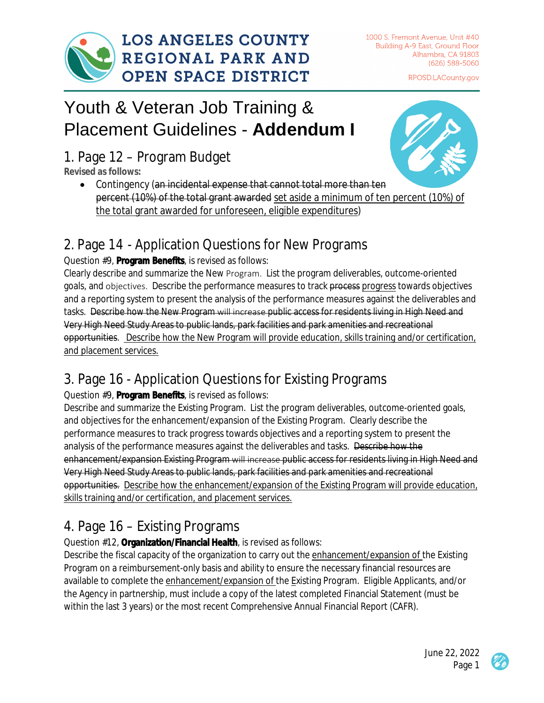

1000 S. Fremont Avenue, Unit #40 Building A-9 East, Ground Floor Alhambra, CA 91803 (626) 588-5060

RPOSD.LACounty.gov

# Youth & Veteran Job Training & Placement Guidelines - **Addendum I**

1. Page 12 – Program Budget

**Revised as follows:** 

• Contingency (an incidental expense that cannot total more than ten percent (10%) of the total grant awarded set aside a minimum of ten percent (10%) of the total grant awarded for unforeseen, eligible expenditures)

# 2. Page 14 - Application Questions for New Programs

#### Question #9, **Program Benefits**, is revised as follows:

Clearly describe and summarize the New Program.  List the program deliverables, outcome-oriented goals, and objectives. Describe the performance measures to track process progress towards objectives and a reporting system to present the analysis of the performance measures against the deliverables and tasks. Describe how the New Program will increase public access for residents living in High Need and Very High Need Study Areas to public lands, park facilities and park amenities and recreational opportunities. Describe how the New Program will provide education, skills training and/or certification, and placement services.

# 3. Page 16 - Application Questions for Existing Programs

#### Question #9, **Program Benefits**, is revised as follows:

Describe and summarize the Existing Program. List the program deliverables, outcome-oriented goals, and objectives for the enhancement/expansion of the Existing Program. Clearly describe the performance measures to track progress towards objectives and a reporting system to present the analysis of the performance measures against the deliverables and tasks. Describe how the enhancement/expansion Existing Program will increase public access for residents living in High Need and Very High Need Study Areas to public lands, park facilities and park amenities and recreational opportunities. Describe how the enhancement/expansion of the Existing Program will provide education, skills training and/or certification, and placement services.

# 4. Page 16 – Existing Programs

Question #12, **Organization/Financial Health**, is revised as follows:

Describe the fiscal capacity of the organization to carry out the enhancement/expansion of the Existing Program on a reimbursement-only basis and ability to ensure the necessary financial resources are available to complete the enhancement/expansion of the Existing Program. Eligible Applicants, and/or the Agency in partnership, must include a copy of the latest completed Financial Statement (must be within the last 3 years) or the most recent Comprehensive Annual Financial Report (CAFR).